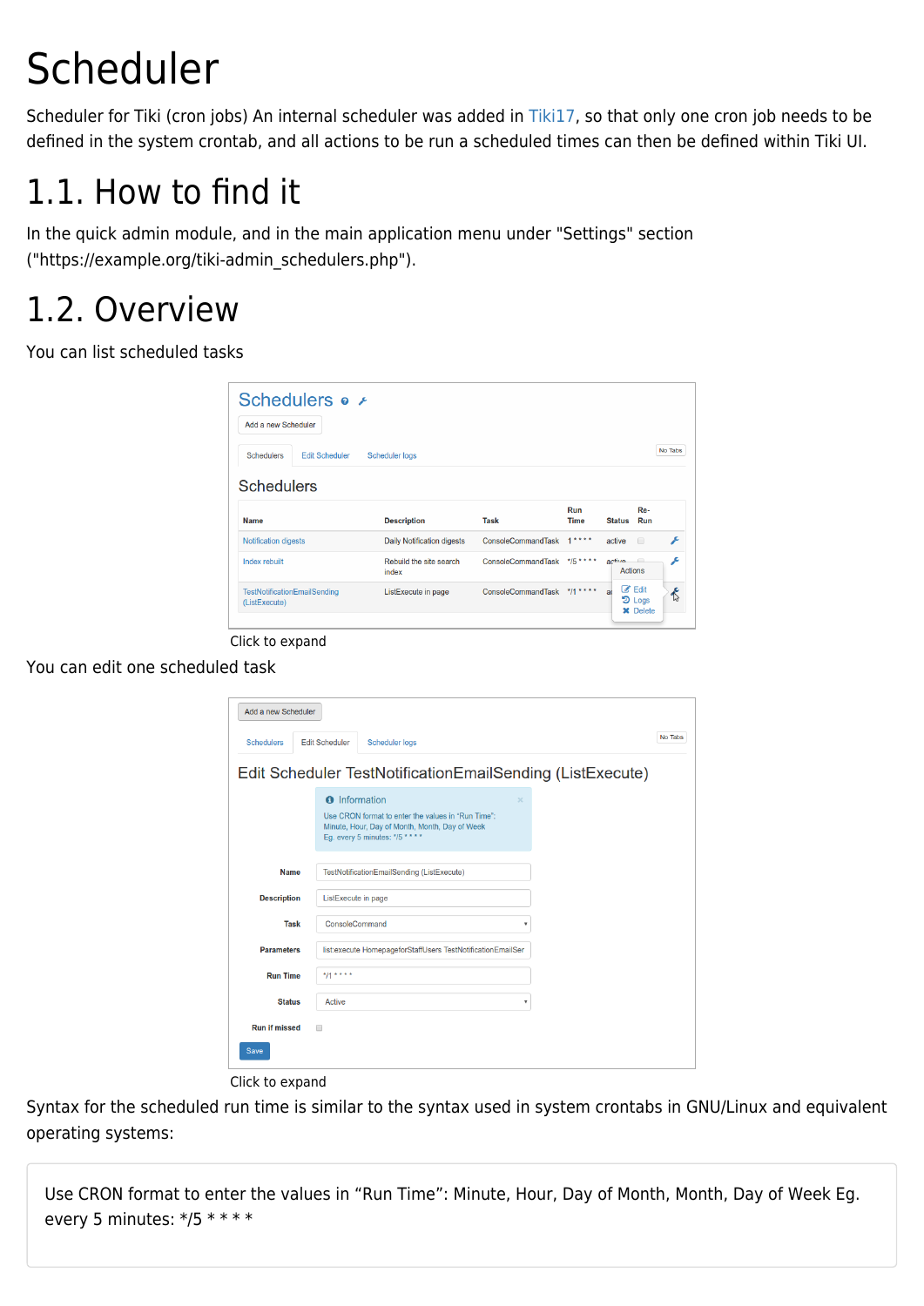# Scheduler

Scheduler for Tiki (cron jobs) An internal scheduler was added in [Tiki17,](https://doc.tiki.org/Tiki17) so that only one cron job needs to be defined in the system crontab, and all actions to be run a scheduled times can then be defined within Tiki UI.

## 1.1. How to find it

In the quick admin module, and in the main application menu under "Settings" section ("https://example.org/tiki-admin\_schedulers.php").

### 1.2. Overview

You can list scheduled tasks

| Add a new Scheduler                          |                                   |                           |                |                          |             |
|----------------------------------------------|-----------------------------------|---------------------------|----------------|--------------------------|-------------|
| <b>Schedulers</b><br><b>Edit Scheduler</b>   | <b>Scheduler logs</b>             |                           |                |                          | No Tabs     |
| <b>Schedulers</b>                            |                                   |                           |                |                          |             |
| <b>Name</b>                                  | <b>Description</b>                | Task                      | Run<br>Time    | <b>Status</b>            | Re-<br>Run  |
|                                              |                                   | <b>ConsoleCommandTask</b> | $1 + 1 + 1$    | active                   | ء<br>$\Box$ |
|                                              | <b>Daily Notification digests</b> |                           |                |                          |             |
| <b>Notification digests</b><br>Index rebuilt | Rebuild the site search<br>index  | ConsoleCommandTask        | $*$ /5 * * * * | active<br><b>Actions</b> | s<br>$\Box$ |

Click to expand

You can edit one scheduled task

| Add a new Scheduler                 |                                                                                                                                                                            |         |
|-------------------------------------|----------------------------------------------------------------------------------------------------------------------------------------------------------------------------|---------|
| <b>Schedulers</b>                   | <b>Edit Scheduler</b><br><b>Scheduler logs</b>                                                                                                                             | No Tabs |
|                                     | Edit Scheduler TestNotificationEmailSending (ListExecute)                                                                                                                  |         |
|                                     | <b>O</b> Information<br>$\mathbf{x}$<br>Use CRON format to enter the values in "Run Time":<br>Minute, Hour, Day of Month, Month, Day of Week<br>Eg. every 5 minutes: */5 * |         |
| <b>Name</b>                         | TestNotificationEmailSending (ListExecute)                                                                                                                                 |         |
| <b>Description</b>                  | ListExecute in page                                                                                                                                                        |         |
| <b>Task</b>                         | ConsoleCommand<br>$\overline{\mathbf v}$                                                                                                                                   |         |
| <b>Parameters</b>                   | list: execute HomepageforStaffUsers TestNotificationEmailSer                                                                                                               |         |
| <b>Run Time</b>                     | $*11***$                                                                                                                                                                   |         |
| <b>Status</b>                       | Active<br>$\overline{\mathbf v}$                                                                                                                                           |         |
| <b>Run if missed</b><br><b>Save</b> | $\Box$                                                                                                                                                                     |         |

Click to expand

Syntax for the scheduled run time is similar to the syntax used in system crontabs in GNU/Linux and equivalent operating systems:

Use CRON format to enter the values in "Run Time": Minute, Hour, Day of Month, Month, Day of Week Eg. every 5 minutes: \*/5 \* \* \* \*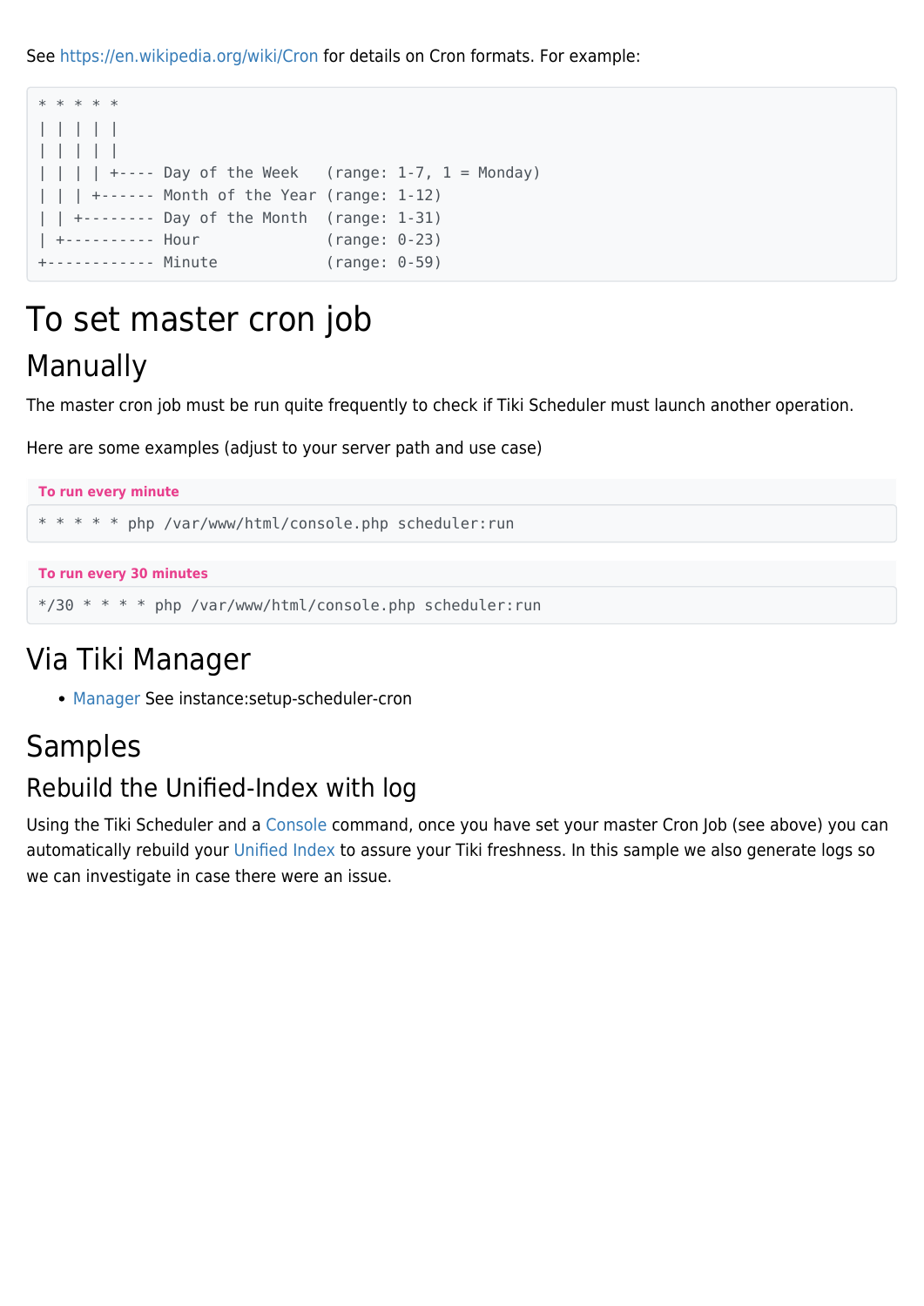See <https://en.wikipedia.org/wiki/Cron> for details on Cron formats. For example:

| * * * * * |  |                  |                                                               |                 |  |
|-----------|--|------------------|---------------------------------------------------------------|-----------------|--|
| 11111     |  |                  |                                                               |                 |  |
| 11111     |  |                  |                                                               |                 |  |
|           |  |                  | $ $       +---- Day of the Week (range: 1-7, 1 = Monday)      |                 |  |
|           |  |                  | $\vert \vert$ $\vert$ +------ Month of the Year (range: 1-12) |                 |  |
|           |  |                  | $ $   $ $ +-------- Day of the Month (range: 1-31)            |                 |  |
|           |  | +---------- Hour |                                                               | $(range: 0-23)$ |  |
|           |  |                  | +------------ Minute                                          | $(range: 0-59)$ |  |
|           |  |                  |                                                               |                 |  |

### To set master cron job Manually

The master cron job must be run quite frequently to check if Tiki Scheduler must launch another operation.

Here are some examples (adjust to your server path and use case)

```
To run every minute
      * * * * * php /var/www/html/console.php scheduler:run
To run every 30 minutes
```
\*/30 \* \* \* \* php /var/www/html/console.php scheduler:run

### Via Tiki Manager

[Manager](https://doc.tiki.org/Manager) See instance:setup-scheduler-cron

#### Samples

#### Rebuild the Unified-Index with log

Using the Tiki Scheduler and a [Console](https://doc.tiki.org/Console) command, once you have set your master Cron Job (see above) you can automatically rebuild your [Unified Index](https://doc.tiki.org/Search-and-List-from-Unified-Index) to assure your Tiki freshness. In this sample we also generate logs so we can investigate in case there were an issue.